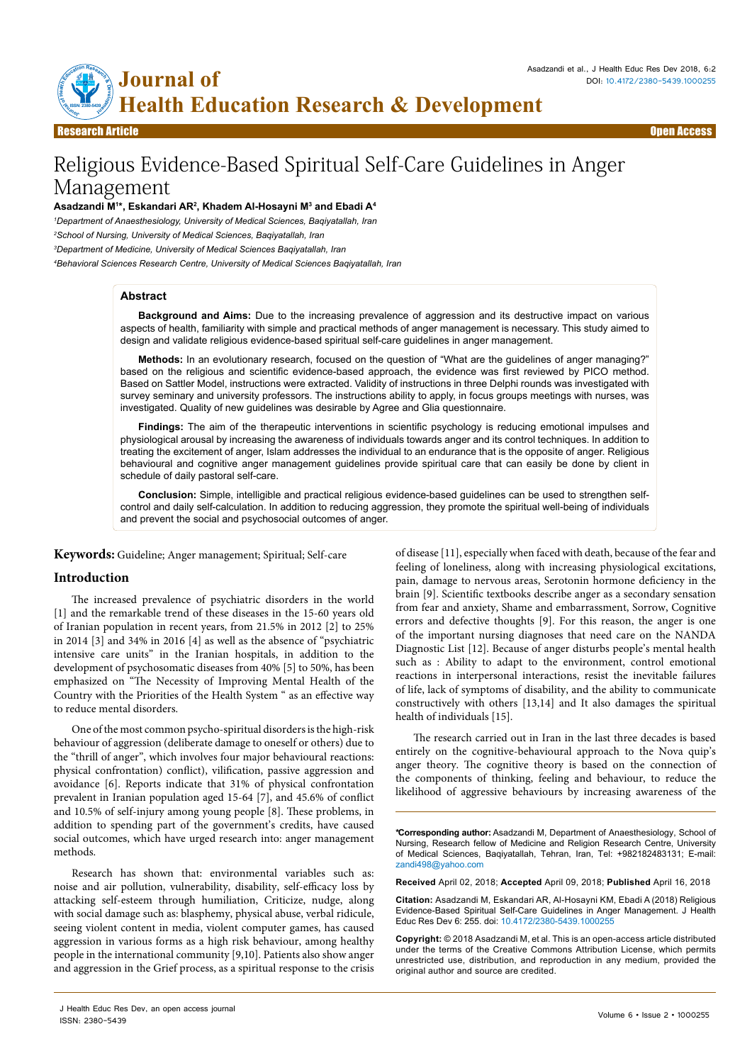**CONTRACTOR DESCRIPTION OF SALESPIER ISSN: 2380-5439 Journal of Health Education Research & Development**

Research Article Open Access

# Religious Evidence-Based Spiritual Self-Care Guidelines in Anger Management

## **Asadzandi M1 \*, Eskandari AR2 , Khadem Al-Hosayni M3 and Ebadi A4**

*1 Department of Anaesthesiology, University of Medical Sciences, Baqiyatallah, Iran*

*3 Department of Medicine, University of Medical Sciences Baqiyatallah, Iran*

*4 Behavioral Sciences Research Centre, University of Medical Sciences Baqiyatallah, Iran*

# **Abstract**

**Background and Aims:** Due to the increasing prevalence of aggression and its destructive impact on various aspects of health, familiarity with simple and practical methods of anger management is necessary. This study aimed to design and validate religious evidence-based spiritual self-care guidelines in anger management.

**Methods:** In an evolutionary research, focused on the question of "What are the guidelines of anger managing?" based on the religious and scientific evidence-based approach, the evidence was first reviewed by PICO method. Based on Sattler Model, instructions were extracted. Validity of instructions in three Delphi rounds was investigated with survey seminary and university professors. The instructions ability to apply, in focus groups meetings with nurses, was investigated. Quality of new guidelines was desirable by Agree and Glia questionnaire.

**Findings:** The aim of the therapeutic interventions in scientific psychology is reducing emotional impulses and physiological arousal by increasing the awareness of individuals towards anger and its control techniques. In addition to treating the excitement of anger, Islam addresses the individual to an endurance that is the opposite of anger. Religious behavioural and cognitive anger management guidelines provide spiritual care that can easily be done by client in schedule of daily pastoral self-care.

**Conclusion:** Simple, intelligible and practical religious evidence-based guidelines can be used to strengthen selfcontrol and daily self-calculation. In addition to reducing aggression, they promote the spiritual well-being of individuals and prevent the social and psychosocial outcomes of anger.

**Keywords:** Guideline; Anger management; Spiritual; Self-care

# **Introduction**

The increased prevalence of psychiatric disorders in the world [1] and the remarkable trend of these diseases in the 15-60 years old of Iranian population in recent years, from 21.5% in 2012 [2] to 25% in 2014 [3] and 34% in 2016 [4] as well as the absence of "psychiatric intensive care units" in the Iranian hospitals, in addition to the development of psychosomatic diseases from 40% [5] to 50%, has been emphasized on "The Necessity of Improving Mental Health of the Country with the Priorities of the Health System " as an effective way to reduce mental disorders.

One of the most common psycho-spiritual disorders is the high-risk behaviour of aggression (deliberate damage to oneself or others) due to the "thrill of anger", which involves four major behavioural reactions: physical confrontation) conflict), vilification, passive aggression and avoidance [6]. Reports indicate that 31% of physical confrontation prevalent in Iranian population aged 15-64 [7], and 45.6% of conflict and 10.5% of self-injury among young people [8]. These problems, in addition to spending part of the government's credits, have caused social outcomes, which have urged research into: anger management methods.

Research has shown that: environmental variables such as: noise and air pollution, vulnerability, disability, self-efficacy loss by attacking self-esteem through humiliation, Criticize, nudge, along with social damage such as: blasphemy, physical abuse, verbal ridicule, seeing violent content in media, violent computer games, has caused aggression in various forms as a high risk behaviour, among healthy people in the international community [9,10]. Patients also show anger and aggression in the Grief process, as a spiritual response to the crisis

J Health Educ Res Dev, an open access journal development of the state of the state of the state 2 · 1000255 ISSN: 2380-5439

of disease [11], especially when faced with death, because of the fear and feeling of loneliness, along with increasing physiological excitations, pain, damage to nervous areas, Serotonin hormone deficiency in the brain [9]. Scientific textbooks describe anger as a secondary sensation from fear and anxiety, Shame and embarrassment, Sorrow, Cognitive errors and defective thoughts [9]. For this reason, the anger is one of the important nursing diagnoses that need care on the NANDA Diagnostic List [12]. Because of anger disturbs people's mental health such as : Ability to adapt to the environment, control emotional reactions in interpersonal interactions, resist the inevitable failures of life, lack of symptoms of disability, and the ability to communicate constructively with others [13,14] and It also damages the spiritual health of individuals [15].

The research carried out in Iran in the last three decades is based entirely on the cognitive-behavioural approach to the Nova quip's anger theory. The cognitive theory is based on the connection of the components of thinking, feeling and behaviour, to reduce the likelihood of aggressive behaviours by increasing awareness of the

**\*Corresponding author:** Asadzandi M, Department of Anaesthesiology, School of Nursing, Research fellow of Medicine and Religion Research Centre, University of Medical Sciences, Baqiyatallah, Tehran, Iran, Tel: +982182483131; E-mail: zandi498@yahoo.com

**Received** April 02, 2018; **Accepted** April 09, 2018; **Published** April 16, 2018

**Citation:** Asadzandi M, Eskandari AR, Al-Hosayni KM, Ebadi A (2018) Religious Evidence-Based Spiritual Self-Care Guidelines in Anger Management. J Health Educ Res Dev 6: 255. doi: 10.4172/2380-5439.1000255

**Copyright:** © 2018 Asadzandi M, et al. This is an open-access article distributed under the terms of the Creative Commons Attribution License, which permits unrestricted use, distribution, and reproduction in any medium, provided the original author and source are credited.

*<sup>2</sup> School of Nursing, University of Medical Sciences, Baqiyatallah, Iran*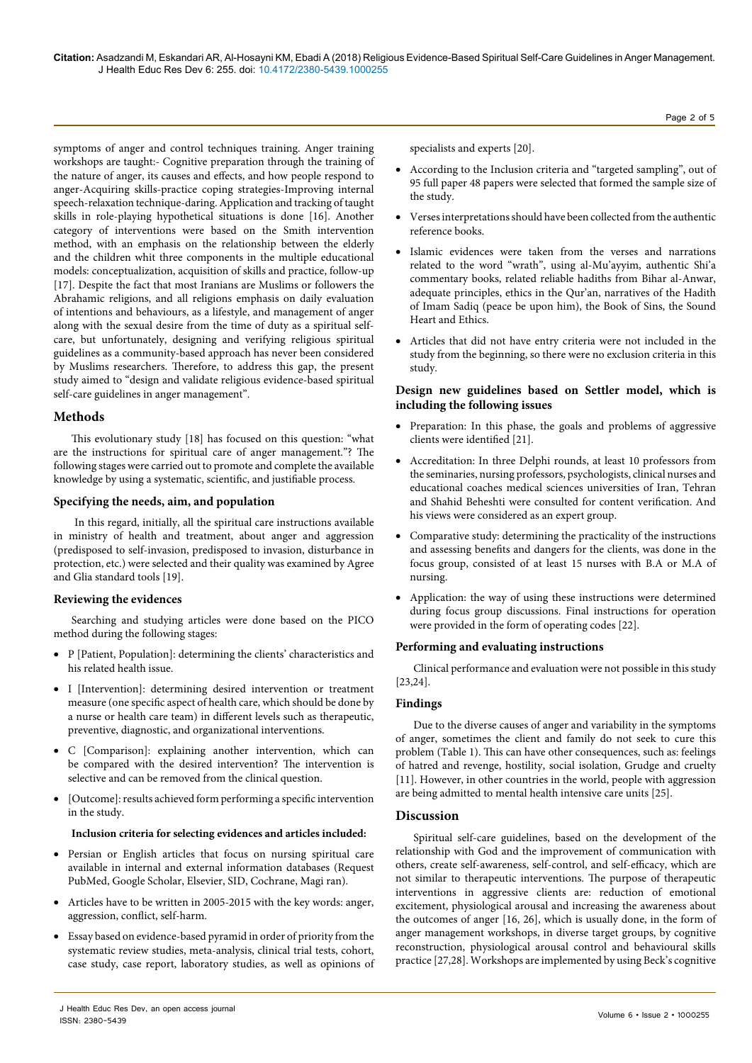**Citation:** Asadzandi M, Eskandari AR, Al-Hosayni KM, Ebadi A (2018) Religious Evidence-Based Spiritual Self-Care Guidelines in Anger Management. J Health Educ Res Dev 6: 255. doi: 10.4172/2380-5439.1000255

symptoms of anger and control techniques training. Anger training workshops are taught:- Cognitive preparation through the training of the nature of anger, its causes and effects, and how people respond to anger-Acquiring skills-practice coping strategies-Improving internal speech-relaxation technique-daring. Application and tracking of taught skills in role-playing hypothetical situations is done [16]. Another category of interventions were based on the Smith intervention method, with an emphasis on the relationship between the elderly and the children whit three components in the multiple educational models: conceptualization, acquisition of skills and practice, follow-up [17]. Despite the fact that most Iranians are Muslims or followers the Abrahamic religions, and all religions emphasis on daily evaluation of intentions and behaviours, as a lifestyle, and management of anger along with the sexual desire from the time of duty as a spiritual selfcare, but unfortunately, designing and verifying religious spiritual guidelines as a community-based approach has never been considered by Muslims researchers. Therefore, to address this gap, the present study aimed to "design and validate religious evidence-based spiritual self-care guidelines in anger management".

# **Methods**

This evolutionary study [18] has focused on this question: "what are the instructions for spiritual care of anger management."? The following stages were carried out to promote and complete the available knowledge by using a systematic, scientific, and justifiable process.

#### **Specifying the needs, aim, and population**

 In this regard, initially, all the spiritual care instructions available in ministry of health and treatment, about anger and aggression (predisposed to self-invasion, predisposed to invasion, disturbance in protection, etc.) were selected and their quality was examined by Agree and Glia standard tools [19].

## **Reviewing the evidences**

Searching and studying articles were done based on the PICO method during the following stages:

- • P [Patient, Population]: determining the clients' characteristics and his related health issue.
- • I [Intervention]: determining desired intervention or treatment measure (one specific aspect of health care, which should be done by a nurse or health care team) in different levels such as therapeutic, preventive, diagnostic, and organizational interventions.
- C [Comparison]: explaining another intervention, which can be compared with the desired intervention? The intervention is selective and can be removed from the clinical question.
- [Outcome]: results achieved form performing a specific intervention in the study.

#### **Inclusion criteria for selecting evidences and articles included:**

- Persian or English articles that focus on nursing spiritual care available in internal and external information databases (Request PubMed, Google Scholar, Elsevier, SID, Cochrane, Magi ran).
- • Articles have to be written in 2005-2015 with the key words: anger, aggression, conflict, self-harm.
- • Essay based on evidence-based pyramid in order of priority from the systematic review studies, meta-analysis, clinical trial tests, cohort, case study, case report, laboratory studies, as well as opinions of

specialists and experts [20].

- According to the Inclusion criteria and "targeted sampling", out of 95 full paper 48 papers were selected that formed the sample size of the study.
- • Verses interpretations should have been collected from the authentic reference books.
- • Islamic evidences were taken from the verses and narrations related to the word "wrath", using al-Mu'ayyim, authentic Shi'a commentary books, related reliable hadiths from Bihar al-Anwar, adequate principles, ethics in the Qur'an, narratives of the Hadith of Imam Sadiq (peace be upon him), the Book of Sins, the Sound Heart and Ethics.
- • Articles that did not have entry criteria were not included in the study from the beginning, so there were no exclusion criteria in this study.

# **Design new guidelines based on Settler model, which is including the following issues**

- • Preparation: In this phase, the goals and problems of aggressive clients were identified [21].
- Accreditation: In three Delphi rounds, at least 10 professors from the seminaries, nursing professors, psychologists, clinical nurses and educational coaches medical sciences universities of Iran, Tehran and Shahid Beheshti were consulted for content verification. And his views were considered as an expert group.
- • Comparative study: determining the practicality of the instructions and assessing benefits and dangers for the clients, was done in the focus group, consisted of at least 15 nurses with B.A or M.A of nursing.
- • Application: the way of using these instructions were determined during focus group discussions. Final instructions for operation were provided in the form of operating codes [22].

## **Performing and evaluating instructions**

Clinical performance and evaluation were not possible in this study [23,24].

## **Findings**

Due to the diverse causes of anger and variability in the symptoms of anger, sometimes the client and family do not seek to cure this problem (Table 1). This can have other consequences, such as: feelings of hatred and revenge, hostility, social isolation, Grudge and cruelty [11]. However, in other countries in the world, people with aggression are being admitted to mental health intensive care units [25].

## **Discussion**

Spiritual self-care guidelines, based on the development of the relationship with God and the improvement of communication with others, create self-awareness, self-control, and self-efficacy, which are not similar to therapeutic interventions. The purpose of therapeutic interventions in aggressive clients are: reduction of emotional excitement, physiological arousal and increasing the awareness about the outcomes of anger [16, 26], which is usually done, in the form of anger management workshops, in diverse target groups, by cognitive reconstruction, physiological arousal control and behavioural skills practice [27,28]. Workshops are implemented by using Beck's cognitive

J Health Educ Res Dev, an open access journal ISSN: 2380-5439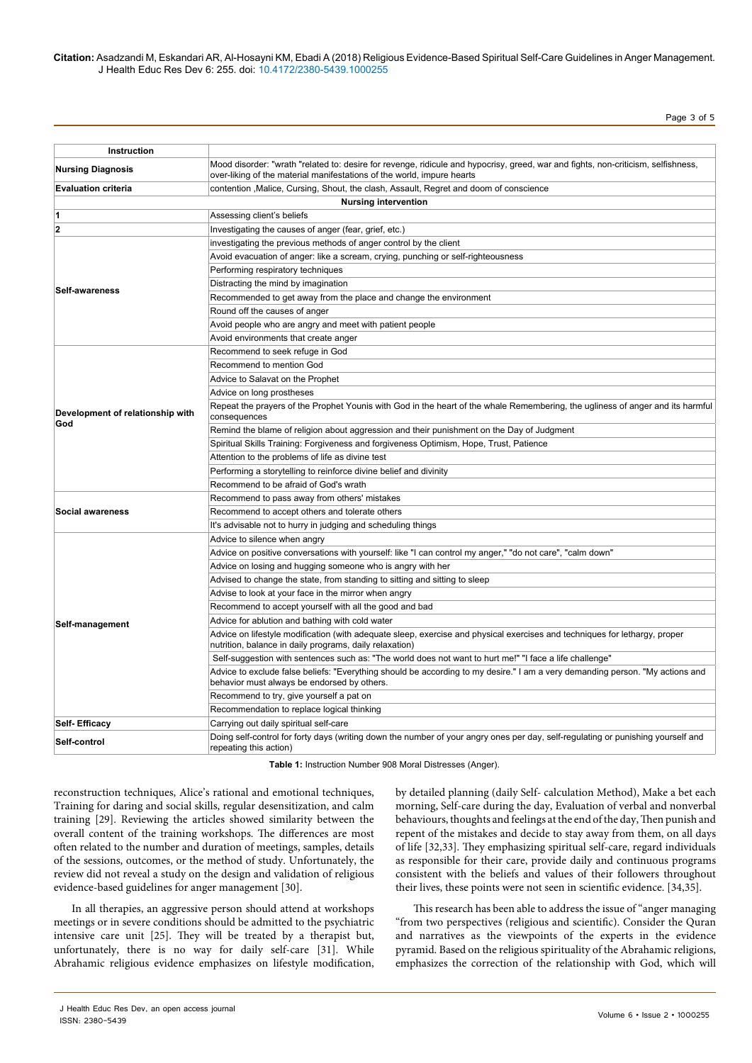**Citation:** Asadzandi M, Eskandari AR, Al-Hosayni KM, Ebadi A (2018) Religious Evidence-Based Spiritual Self-Care Guidelines in Anger Management. J Health Educ Res Dev 6: 255. doi: 10.4172/2380-5439.1000255

Page 3 of 5

| <b>Nursing Diagnosis</b>                | Mood disorder: "wrath "related to: desire for revenge, ridicule and hypocrisy, greed, war and fights, non-criticism, selfishness,<br>over-liking of the material manifestations of the world, impure hearts |
|-----------------------------------------|-------------------------------------------------------------------------------------------------------------------------------------------------------------------------------------------------------------|
| <b>Evaluation criteria</b>              | contention , Malice, Cursing, Shout, the clash, Assault, Regret and doom of conscience                                                                                                                      |
| <b>Nursing intervention</b>             |                                                                                                                                                                                                             |
| 1                                       | Assessing client's beliefs                                                                                                                                                                                  |
| $\overline{2}$                          | Investigating the causes of anger (fear, grief, etc.)                                                                                                                                                       |
| Self-awareness                          | investigating the previous methods of anger control by the client                                                                                                                                           |
|                                         | Avoid evacuation of anger: like a scream, crying, punching or self-righteousness                                                                                                                            |
|                                         | Performing respiratory techniques                                                                                                                                                                           |
|                                         | Distracting the mind by imagination                                                                                                                                                                         |
|                                         | Recommended to get away from the place and change the environment                                                                                                                                           |
|                                         | Round off the causes of anger                                                                                                                                                                               |
|                                         | Avoid people who are angry and meet with patient people                                                                                                                                                     |
|                                         | Avoid environments that create anger                                                                                                                                                                        |
| Development of relationship with<br>God | Recommend to seek refuge in God                                                                                                                                                                             |
|                                         | Recommend to mention God                                                                                                                                                                                    |
|                                         | Advice to Salavat on the Prophet                                                                                                                                                                            |
|                                         | Advice on long prostheses                                                                                                                                                                                   |
|                                         | Repeat the prayers of the Prophet Younis with God in the heart of the whale Remembering, the ugliness of anger and its harmful<br>consequences                                                              |
|                                         | Remind the blame of religion about aggression and their punishment on the Day of Judgment                                                                                                                   |
|                                         | Spiritual Skills Training: Forgiveness and forgiveness Optimism, Hope, Trust, Patience                                                                                                                      |
|                                         | Attention to the problems of life as divine test                                                                                                                                                            |
|                                         | Performing a storytelling to reinforce divine belief and divinity                                                                                                                                           |
|                                         | Recommend to be afraid of God's wrath                                                                                                                                                                       |
| <b>Social awareness</b>                 | Recommend to pass away from others' mistakes                                                                                                                                                                |
|                                         | Recommend to accept others and tolerate others                                                                                                                                                              |
|                                         | It's advisable not to hurry in judging and scheduling things                                                                                                                                                |
| Self-management                         | Advice to silence when angry                                                                                                                                                                                |
|                                         | "Advice on positive conversations with yourself: like "I can control my anger," "do not care", "calm down                                                                                                   |
|                                         | Advice on losing and hugging someone who is angry with her                                                                                                                                                  |
|                                         | Advised to change the state, from standing to sitting and sitting to sleep                                                                                                                                  |
|                                         | Advise to look at your face in the mirror when angry                                                                                                                                                        |
|                                         | Recommend to accept yourself with all the good and bad                                                                                                                                                      |
|                                         | Advice for ablution and bathing with cold water                                                                                                                                                             |
|                                         | Advice on lifestyle modification (with adequate sleep, exercise and physical exercises and techniques for lethargy, proper<br>nutrition, balance in daily programs, daily relaxation)                       |
|                                         | Self-suggestion with sentences such as: "The world does not want to hurt me!" "I face a life challenge"                                                                                                     |
|                                         | Advice to exclude false beliefs: "Everything should be according to my desire." I am a very demanding person. "My actions and<br>behavior must always be endorsed by others.                                |
|                                         | Recommend to try, give yourself a pat on                                                                                                                                                                    |
|                                         | Recommendation to replace logical thinking                                                                                                                                                                  |
| Self-Efficacy                           | Carrying out daily spiritual self-care                                                                                                                                                                      |
| Self-control                            | Doing self-control for forty days (writing down the number of your angry ones per day, self-regulating or punishing yourself and<br>repeating this action)                                                  |

**Table 1:** Instruction Number 908 Moral Distresses (Anger).

reconstruction techniques, Alice's rational and emotional techniques, Training for daring and social skills, regular desensitization, and calm training [29]. Reviewing the articles showed similarity between the overall content of the training workshops. The differences are most often related to the number and duration of meetings, samples, details of the sessions, outcomes, or the method of study. Unfortunately, the review did not reveal a study on the design and validation of religious evidence-based guidelines for anger management [30].

In all therapies, an aggressive person should attend at workshops meetings or in severe conditions should be admitted to the psychiatric intensive care unit [25]. They will be treated by a therapist but, unfortunately, there is no way for daily self-care [31]. While Abrahamic religious evidence emphasizes on lifestyle modification, by detailed planning (daily Self- calculation Method), Make a bet each morning, Self-care during the day, Evaluation of verbal and nonverbal behaviours, thoughts and feelings at the end of the day, Then punish and repent of the mistakes and decide to stay away from them, on all days of life [32,33]. They emphasizing spiritual self-care, regard individuals as responsible for their care, provide daily and continuous programs consistent with the beliefs and values of their followers throughout their lives, these points were not seen in scientific evidence. [34,35].

This research has been able to address the issue of "anger managing "from two perspectives (religious and scientific). Consider the Quran and narratives as the viewpoints of the experts in the evidence pyramid. Based on the religious spirituality of the Abrahamic religions, emphasizes the correction of the relationship with God, which will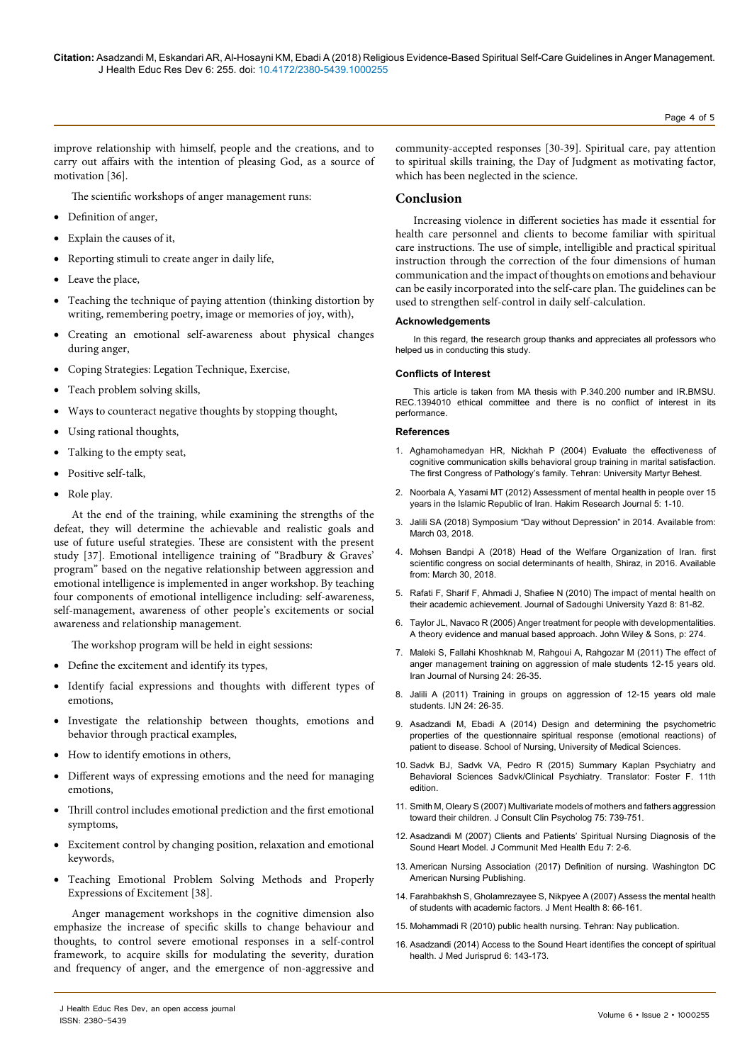improve relationship with himself, people and the creations, and to carry out affairs with the intention of pleasing God, as a source of motivation [36].

The scientific workshops of anger management runs:

- Definition of anger,
- • Explain the causes of it,
- Reporting stimuli to create anger in daily life,
- Leave the place,
- Teaching the technique of paying attention (thinking distortion by writing, remembering poetry, image or memories of joy, with),
- Creating an emotional self-awareness about physical changes during anger,
- • Coping Strategies: Legation Technique, Exercise,
- Teach problem solving skills,
- Ways to counteract negative thoughts by stopping thought,
- Using rational thoughts,
- Talking to the empty seat,
- Positive self-talk,
- Role play.

At the end of the training, while examining the strengths of the defeat, they will determine the achievable and realistic goals and use of future useful strategies. These are consistent with the present study [37]. Emotional intelligence training of "Bradbury & Graves' program" based on the negative relationship between aggression and emotional intelligence is implemented in anger workshop. By teaching four components of emotional intelligence including: self-awareness, self-management, awareness of other people's excitements or social awareness and relationship management.

The workshop program will be held in eight sessions:

- • Define the excitement and identify its types,
- • Identify facial expressions and thoughts with different types of emotions,
- Investigate the relationship between thoughts, emotions and behavior through practical examples,
- How to identify emotions in others,
- Different ways of expressing emotions and the need for managing emotions,
- Thrill control includes emotional prediction and the first emotional symptoms,
- • Excitement control by changing position, relaxation and emotional keywords,
- • Teaching Emotional Problem Solving Methods and Properly Expressions of Excitement [38].

Anger management workshops in the cognitive dimension also emphasize the increase of specific skills to change behaviour and thoughts, to control severe emotional responses in a self-control framework, to acquire skills for modulating the severity, duration and frequency of anger, and the emergence of non-aggressive and community-accepted responses [30-39]. Spiritual care, pay attention to spiritual skills training, the Day of Judgment as motivating factor, which has been neglected in the science.

# **Conclusion**

Increasing violence in different societies has made it essential for health care personnel and clients to become familiar with spiritual care instructions. The use of simple, intelligible and practical spiritual instruction through the correction of the four dimensions of human communication and the impact of thoughts on emotions and behaviour can be easily incorporated into the self-care plan. The guidelines can be used to strengthen self-control in daily self-calculation.

#### **Acknowledgements**

In this regard, the research group thanks and appreciates all professors who helped us in conducting this study.

#### **Conflicts of Interest**

This article is taken from MA thesis with P.340.200 number and IR.BMSU. REC.1394010 ethical committee and there is no conflict of interest in its performance.

#### **References**

- 1. Aghamohamedyan HR, Nickhah P (2004) Evaluate the effectiveness of cognitive communication skills behavioral group training in marital satisfaction. The first Congress of Pathology's family. Tehran: University Martyr Behest.
- 2. Noorbala A, Yasami MT (2012) Assessment of mental health in people over 15 years in the Islamic Republic of Iran. Hakim Research Journal 5: 1-10.
- 3. Jalili SA (2018) Symposium "Day without Depression" in 2014. Available from: March 03, 2018.
- 4. Mohsen Bandpi A (2018) Head of the Welfare Organization of Iran. first scientific congress on social determinants of health, Shiraz, in 2016. Available from: March 30, 2018.
- 5. Rafati F, Sharif F, Ahmadi J, Shafiee N (2010) The impact of mental health on their academic achievement. Journal of Sadoughi University Yazd 8: 81-82.
- 6. [Taylor JL, Navaco R \(2005\) Anger treatment for people with developmentalities.](https://www.wiley.com/en-us/Anger+Treatment+for+People+with+Developmental+Disabilities%3A+A+Theory%2C+Evidence+and+Manual+Based+Approach-p-9780470870051)  [A theory evidence and manual based approach. John Wiley & Sons, p: 274.](https://www.wiley.com/en-us/Anger+Treatment+for+People+with+Developmental+Disabilities%3A+A+Theory%2C+Evidence+and+Manual+Based+Approach-p-9780470870051)
- 7. [Maleki S, Fallahi Khoshknab M, Rahgoui A, Rahgozar M \(2011\) The effect of](https://www.researchgate.net/publication/295826157_THE_EFFECT_OF_ANGER_MANAGEMENT_TRAINING_ON_AGGRESSION_OF_MALE_STUDENTS_12-15_YEARS_OLD)  [anger management training on aggression of male students 12-15 years old.](https://www.researchgate.net/publication/295826157_THE_EFFECT_OF_ANGER_MANAGEMENT_TRAINING_ON_AGGRESSION_OF_MALE_STUDENTS_12-15_YEARS_OLD)  [Iran Journal of Nursing 24: 26-35.](https://www.researchgate.net/publication/295826157_THE_EFFECT_OF_ANGER_MANAGEMENT_TRAINING_ON_AGGRESSION_OF_MALE_STUDENTS_12-15_YEARS_OLD)
- 8. Jalili A (2011) Training in groups on aggression of 12-15 years old male students. IJN 24: 26-35.
- 9. Asadzandi M, Ebadi A (2014) Design and determining the psychometric properties of the questionnaire spiritual response (emotional reactions) of patient to disease. School of Nursing, University of Medical Sciences.
- 10. Sadvk BJ, Sadvk VA, Pedro R (2015) Summary Kaplan Psychiatry and Behavioral Sciences Sadvk/Clinical Psychiatry. Translator: Foster F. 11th edition.
- 11. [Smith M, Oleary S \(2007\) Multivariate models of mothers and fathers aggression](http://psycnet.apa.org/record/2007-13640-007)  [toward their children. J Consult Clin Psycholog 75: 739-751.](http://psycnet.apa.org/record/2007-13640-007)
- 12. [Asadzandi M \(2007\) Clients and Patients' Spiritual Nursing Diagnosis of the](https://www.omicsonline.org/open-access/clients-and-patients-spiritual-nursing-diagnosis-of-the-sound-heartmodel-2161-0711-1000581.pdf)  [Sound Heart Model. J Communit Med Health Edu 7: 2-6.](https://www.omicsonline.org/open-access/clients-and-patients-spiritual-nursing-diagnosis-of-the-sound-heartmodel-2161-0711-1000581.pdf)
- 13. American Nursing Association (2017) Definition of nursing. Washington DC American Nursing Publishing.
- 14. Farahbakhsh S, Gholamrezayee S, Nikpyee A (2007) Assess the mental health of students with academic factors. J Ment Health 8: 66-161.
- 15. Mohammadi R (2010) public health nursing. Tehran: Nay publication.
- 16. Asadzandi (2014) Access to the Sound Heart identifies the concept of spiritual health. J Med Jurisprud 6: 143-173.